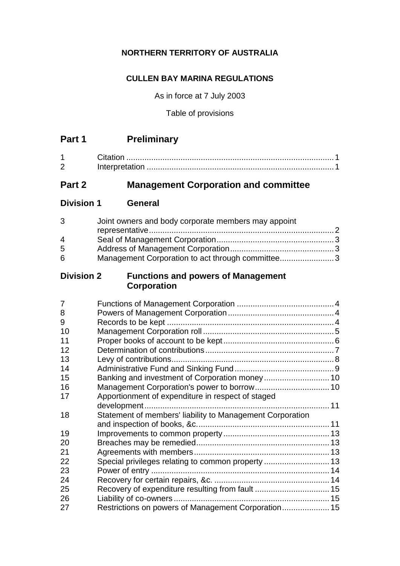## **NORTHERN TERRITORY OF AUSTRALIA**

### **CULLEN BAY MARINA REGULATIONS**

As in force at 7 July 2003

Table of provisions

| <b>Preliminary</b> |
|--------------------|
|                    |

| ⌒ |  |
|---|--|

# **Part 2 Management Corporation and committee**

**Division 1 General**

| 3 | Joint owners and body corporate members may appoint |  |
|---|-----------------------------------------------------|--|
|   |                                                     |  |
| 4 |                                                     |  |
| 5 |                                                     |  |
| 6 | Management Corporation to act through committee3    |  |

## **Division 2 Functions and powers of Management Corporation**

| 7  |                                                           |  |
|----|-----------------------------------------------------------|--|
| 8  |                                                           |  |
| 9  |                                                           |  |
| 10 |                                                           |  |
| 11 |                                                           |  |
| 12 |                                                           |  |
| 13 |                                                           |  |
| 14 |                                                           |  |
| 15 |                                                           |  |
| 16 |                                                           |  |
| 17 | Apportionment of expenditure in respect of staged         |  |
|    |                                                           |  |
| 18 | Statement of members' liability to Management Corporation |  |
|    |                                                           |  |
| 19 |                                                           |  |
| 20 |                                                           |  |
| 21 |                                                           |  |
| 22 | Special privileges relating to common property  13        |  |
| 23 |                                                           |  |
| 24 |                                                           |  |
| 25 | Recovery of expenditure resulting from fault  15          |  |
| 26 |                                                           |  |
| 27 | Restrictions on powers of Management Corporation 15       |  |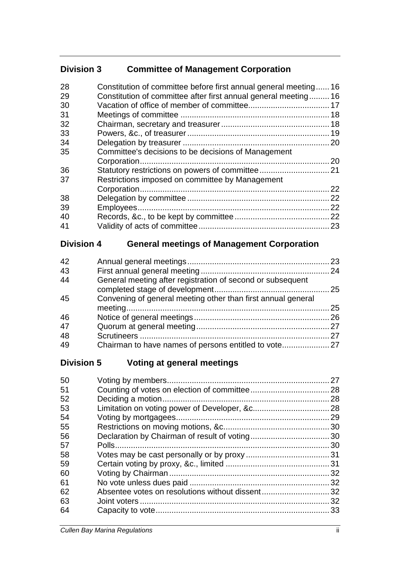# **Division 3 Committee of Management Corporation**

| 28<br>29 | Constitution of committee before first annual general meeting 16<br>Constitution of committee after first annual general meeting 16 |    |
|----------|-------------------------------------------------------------------------------------------------------------------------------------|----|
| 30       |                                                                                                                                     |    |
| 31       |                                                                                                                                     |    |
| 32       |                                                                                                                                     |    |
| 33       |                                                                                                                                     |    |
| 34       |                                                                                                                                     |    |
| 35       | Committee's decisions to be decisions of Management                                                                                 |    |
|          |                                                                                                                                     |    |
| 36       |                                                                                                                                     |    |
| 37       | Restrictions imposed on committee by Management                                                                                     |    |
|          |                                                                                                                                     | 22 |
| 38       |                                                                                                                                     | 22 |
| 39       |                                                                                                                                     | 22 |
| 40       |                                                                                                                                     |    |
| 41       |                                                                                                                                     |    |
|          |                                                                                                                                     |    |

# **Division 4 General meetings of Management Corporation**

| 42 |                                                              |  |
|----|--------------------------------------------------------------|--|
| 43 |                                                              |  |
| 44 | General meeting after registration of second or subsequent   |  |
| 45 | Convening of general meeting other than first annual general |  |
| 46 |                                                              |  |
| 47 |                                                              |  |
| 48 |                                                              |  |
| 49 |                                                              |  |

# **Division 5 Voting at general meetings**

| 50 | 27 |
|----|----|
| 51 |    |
| 52 | 28 |
| 53 |    |
| 54 | 29 |
| 55 |    |
| 56 |    |
| 57 |    |
| 58 |    |
| 59 |    |
| 60 |    |
| 61 |    |
| 62 |    |
| 63 | 32 |
| 64 |    |
|    |    |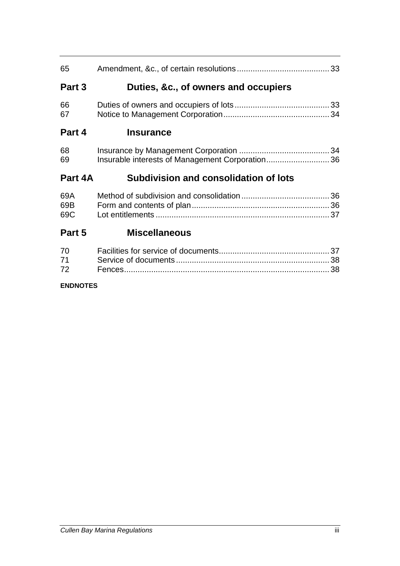| 65         |                                                 |  |
|------------|-------------------------------------------------|--|
| Part 3     | Duties, &c., of owners and occupiers            |  |
| 66<br>67   |                                                 |  |
| Part 4     | <b>Insurance</b>                                |  |
| 68<br>69   | Insurable interests of Management Corporation36 |  |
| Part 4A    | <b>Subdivision and consolidation of lots</b>    |  |
| 69A        |                                                 |  |
| 69B<br>69C |                                                 |  |
| Part 5     | <b>Miscellaneous</b>                            |  |

### **ENDNOTES**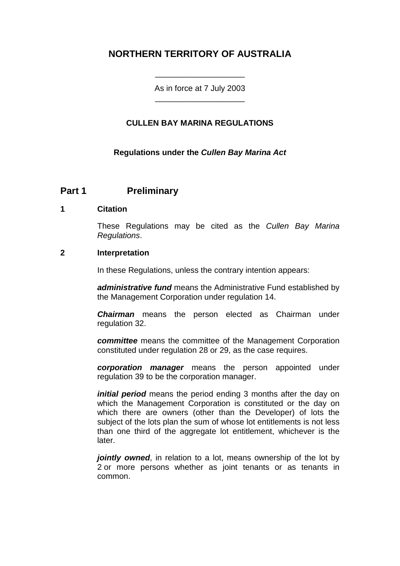# **NORTHERN TERRITORY OF AUSTRALIA**

As in force at 7 July 2003 \_\_\_\_\_\_\_\_\_\_\_\_\_\_\_\_\_\_\_\_

\_\_\_\_\_\_\_\_\_\_\_\_\_\_\_\_\_\_\_\_

### **CULLEN BAY MARINA REGULATIONS**

### **Regulations under the** *Cullen Bay Marina Act*

## **Part 1 Preliminary**

#### **1 Citation**

These Regulations may be cited as the *Cullen Bay Marina Regulations*.

### **2 Interpretation**

In these Regulations, unless the contrary intention appears:

*administrative fund* means the Administrative Fund established by the Management Corporation under regulation 14.

*Chairman* means the person elected as Chairman under regulation 32.

*committee* means the committee of the Management Corporation constituted under regulation 28 or 29, as the case requires.

*corporation manager* means the person appointed under regulation 39 to be the corporation manager.

*initial period* means the period ending 3 months after the day on which the Management Corporation is constituted or the day on which there are owners (other than the Developer) of lots the subject of the lots plan the sum of whose lot entitlements is not less than one third of the aggregate lot entitlement, whichever is the later.

*jointly owned*, in relation to a lot, means ownership of the lot by 2 or more persons whether as joint tenants or as tenants in common.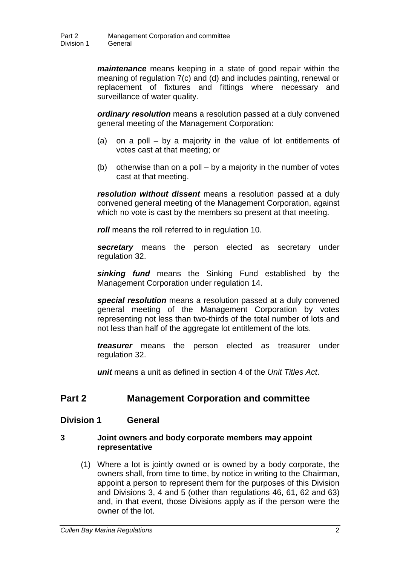*maintenance* means keeping in a state of good repair within the meaning of regulation 7(c) and (d) and includes painting, renewal or replacement of fixtures and fittings where necessary and surveillance of water quality.

*ordinary resolution* means a resolution passed at a duly convened general meeting of the Management Corporation:

- (a) on a poll by a majority in the value of lot entitlements of votes cast at that meeting; or
- (b) otherwise than on a poll by a majority in the number of votes cast at that meeting.

*resolution without dissent* means a resolution passed at a duly convened general meeting of the Management Corporation, against which no vote is cast by the members so present at that meeting.

*roll* means the roll referred to in regulation 10.

*secretary* means the person elected as secretary under regulation 32.

*sinking fund* means the Sinking Fund established by the Management Corporation under regulation 14.

*special resolution* means a resolution passed at a duly convened general meeting of the Management Corporation by votes representing not less than two-thirds of the total number of lots and not less than half of the aggregate lot entitlement of the lots.

*treasurer* means the person elected as treasurer under regulation 32.

*unit* means a unit as defined in section 4 of the *Unit Titles Act*.

## **Part 2 Management Corporation and committee**

### **Division 1 General**

### **3 Joint owners and body corporate members may appoint representative**

(1) Where a lot is jointly owned or is owned by a body corporate, the owners shall, from time to time, by notice in writing to the Chairman, appoint a person to represent them for the purposes of this Division and Divisions 3, 4 and 5 (other than regulations 46, 61, 62 and 63) and, in that event, those Divisions apply as if the person were the owner of the lot.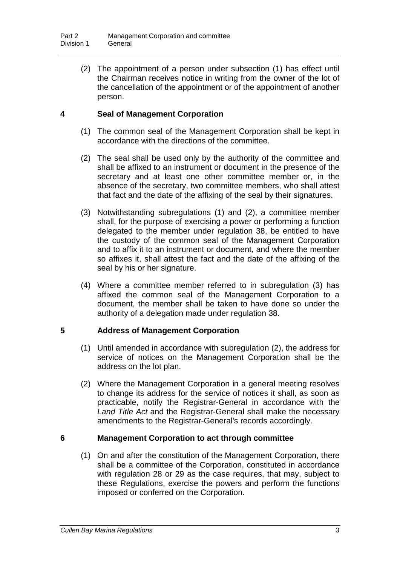(2) The appointment of a person under subsection (1) has effect until the Chairman receives notice in writing from the owner of the lot of the cancellation of the appointment or of the appointment of another person.

### **4 Seal of Management Corporation**

- (1) The common seal of the Management Corporation shall be kept in accordance with the directions of the committee.
- (2) The seal shall be used only by the authority of the committee and shall be affixed to an instrument or document in the presence of the secretary and at least one other committee member or, in the absence of the secretary, two committee members, who shall attest that fact and the date of the affixing of the seal by their signatures.
- (3) Notwithstanding subregulations (1) and (2), a committee member shall, for the purpose of exercising a power or performing a function delegated to the member under regulation 38, be entitled to have the custody of the common seal of the Management Corporation and to affix it to an instrument or document, and where the member so affixes it, shall attest the fact and the date of the affixing of the seal by his or her signature.
- (4) Where a committee member referred to in subregulation (3) has affixed the common seal of the Management Corporation to a document, the member shall be taken to have done so under the authority of a delegation made under regulation 38.

### **5 Address of Management Corporation**

- (1) Until amended in accordance with subregulation (2), the address for service of notices on the Management Corporation shall be the address on the lot plan.
- (2) Where the Management Corporation in a general meeting resolves to change its address for the service of notices it shall, as soon as practicable, notify the Registrar-General in accordance with the *Land Title Act* and the Registrar-General shall make the necessary amendments to the Registrar-General's records accordingly.

### **6 Management Corporation to act through committee**

(1) On and after the constitution of the Management Corporation, there shall be a committee of the Corporation, constituted in accordance with regulation 28 or 29 as the case requires, that may, subject to these Regulations, exercise the powers and perform the functions imposed or conferred on the Corporation.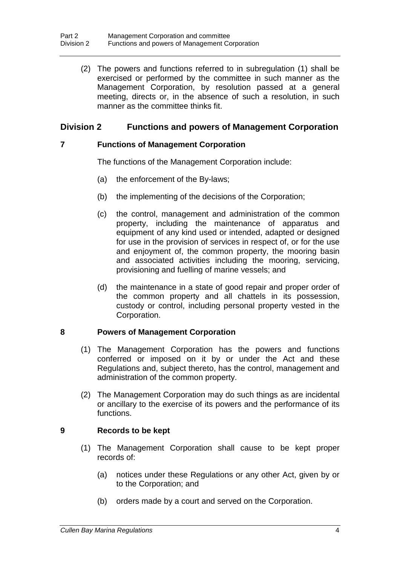(2) The powers and functions referred to in subregulation (1) shall be exercised or performed by the committee in such manner as the Management Corporation, by resolution passed at a general meeting, directs or, in the absence of such a resolution, in such manner as the committee thinks fit.

### **Division 2 Functions and powers of Management Corporation**

### **7 Functions of Management Corporation**

The functions of the Management Corporation include:

- (a) the enforcement of the By-laws;
- (b) the implementing of the decisions of the Corporation;
- (c) the control, management and administration of the common property, including the maintenance of apparatus and equipment of any kind used or intended, adapted or designed for use in the provision of services in respect of, or for the use and enjoyment of, the common property, the mooring basin and associated activities including the mooring, servicing, provisioning and fuelling of marine vessels; and
- (d) the maintenance in a state of good repair and proper order of the common property and all chattels in its possession, custody or control, including personal property vested in the Corporation.

### **8 Powers of Management Corporation**

- (1) The Management Corporation has the powers and functions conferred or imposed on it by or under the Act and these Regulations and, subject thereto, has the control, management and administration of the common property.
- (2) The Management Corporation may do such things as are incidental or ancillary to the exercise of its powers and the performance of its functions.

### **9 Records to be kept**

- (1) The Management Corporation shall cause to be kept proper records of:
	- (a) notices under these Regulations or any other Act, given by or to the Corporation; and
	- (b) orders made by a court and served on the Corporation.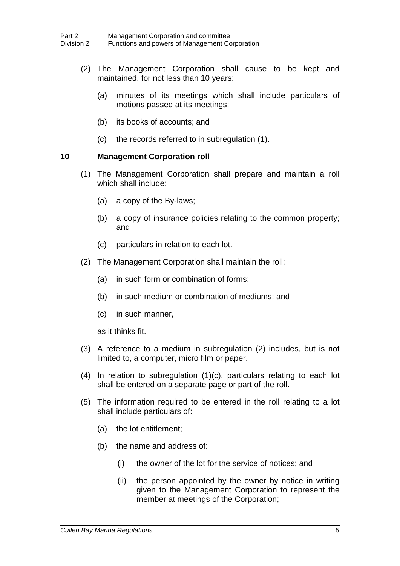- (2) The Management Corporation shall cause to be kept and maintained, for not less than 10 years:
	- (a) minutes of its meetings which shall include particulars of motions passed at its meetings;
	- (b) its books of accounts; and
	- (c) the records referred to in subregulation (1).

### **10 Management Corporation roll**

- (1) The Management Corporation shall prepare and maintain a roll which shall include:
	- (a) a copy of the By-laws;
	- (b) a copy of insurance policies relating to the common property; and
	- (c) particulars in relation to each lot.
- (2) The Management Corporation shall maintain the roll:
	- (a) in such form or combination of forms;
	- (b) in such medium or combination of mediums; and
	- (c) in such manner,

as it thinks fit.

- (3) A reference to a medium in subregulation (2) includes, but is not limited to, a computer, micro film or paper.
- (4) In relation to subregulation (1)(c), particulars relating to each lot shall be entered on a separate page or part of the roll.
- (5) The information required to be entered in the roll relating to a lot shall include particulars of:
	- (a) the lot entitlement;
	- (b) the name and address of:
		- (i) the owner of the lot for the service of notices; and
		- (ii) the person appointed by the owner by notice in writing given to the Management Corporation to represent the member at meetings of the Corporation;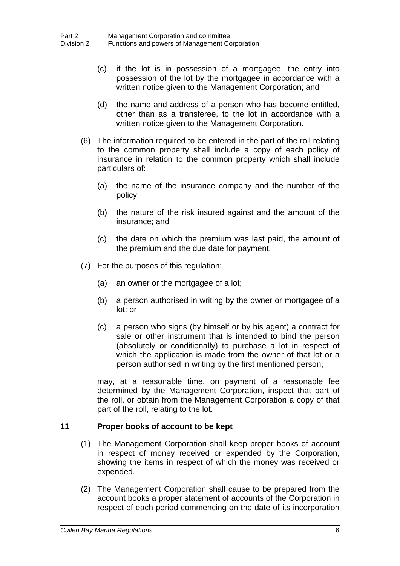- (c) if the lot is in possession of a mortgagee, the entry into possession of the lot by the mortgagee in accordance with a written notice given to the Management Corporation; and
- (d) the name and address of a person who has become entitled, other than as a transferee, to the lot in accordance with a written notice given to the Management Corporation.
- (6) The information required to be entered in the part of the roll relating to the common property shall include a copy of each policy of insurance in relation to the common property which shall include particulars of:
	- (a) the name of the insurance company and the number of the policy;
	- (b) the nature of the risk insured against and the amount of the insurance; and
	- (c) the date on which the premium was last paid, the amount of the premium and the due date for payment.
- (7) For the purposes of this regulation:
	- (a) an owner or the mortgagee of a lot;
	- (b) a person authorised in writing by the owner or mortgagee of a lot; or
	- (c) a person who signs (by himself or by his agent) a contract for sale or other instrument that is intended to bind the person (absolutely or conditionally) to purchase a lot in respect of which the application is made from the owner of that lot or a person authorised in writing by the first mentioned person,

may, at a reasonable time, on payment of a reasonable fee determined by the Management Corporation, inspect that part of the roll, or obtain from the Management Corporation a copy of that part of the roll, relating to the lot.

### **11 Proper books of account to be kept**

- (1) The Management Corporation shall keep proper books of account in respect of money received or expended by the Corporation, showing the items in respect of which the money was received or expended.
- (2) The Management Corporation shall cause to be prepared from the account books a proper statement of accounts of the Corporation in respect of each period commencing on the date of its incorporation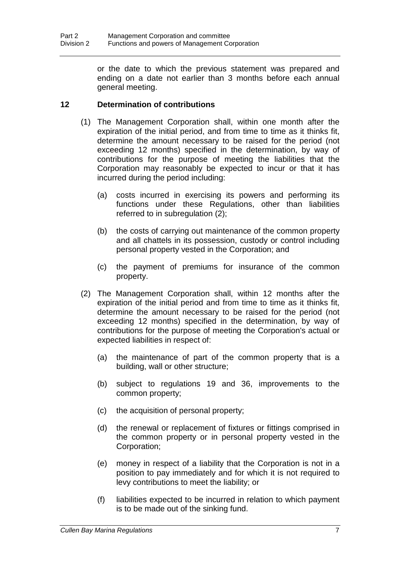or the date to which the previous statement was prepared and ending on a date not earlier than 3 months before each annual general meeting.

### **12 Determination of contributions**

- (1) The Management Corporation shall, within one month after the expiration of the initial period, and from time to time as it thinks fit, determine the amount necessary to be raised for the period (not exceeding 12 months) specified in the determination, by way of contributions for the purpose of meeting the liabilities that the Corporation may reasonably be expected to incur or that it has incurred during the period including:
	- (a) costs incurred in exercising its powers and performing its functions under these Regulations, other than liabilities referred to in subregulation (2);
	- (b) the costs of carrying out maintenance of the common property and all chattels in its possession, custody or control including personal property vested in the Corporation; and
	- (c) the payment of premiums for insurance of the common property.
- (2) The Management Corporation shall, within 12 months after the expiration of the initial period and from time to time as it thinks fit, determine the amount necessary to be raised for the period (not exceeding 12 months) specified in the determination, by way of contributions for the purpose of meeting the Corporation's actual or expected liabilities in respect of:
	- (a) the maintenance of part of the common property that is a building, wall or other structure;
	- (b) subject to regulations 19 and 36, improvements to the common property;
	- (c) the acquisition of personal property;
	- (d) the renewal or replacement of fixtures or fittings comprised in the common property or in personal property vested in the Corporation;
	- (e) money in respect of a liability that the Corporation is not in a position to pay immediately and for which it is not required to levy contributions to meet the liability; or
	- (f) liabilities expected to be incurred in relation to which payment is to be made out of the sinking fund.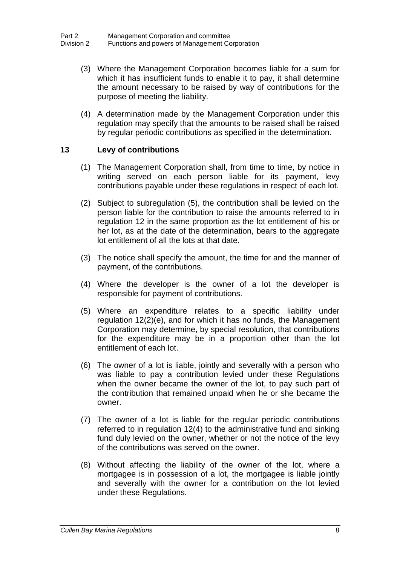- (3) Where the Management Corporation becomes liable for a sum for which it has insufficient funds to enable it to pay, it shall determine the amount necessary to be raised by way of contributions for the purpose of meeting the liability.
- (4) A determination made by the Management Corporation under this regulation may specify that the amounts to be raised shall be raised by regular periodic contributions as specified in the determination.

### **13 Levy of contributions**

- (1) The Management Corporation shall, from time to time, by notice in writing served on each person liable for its payment, levy contributions payable under these regulations in respect of each lot.
- (2) Subject to subregulation (5), the contribution shall be levied on the person liable for the contribution to raise the amounts referred to in regulation 12 in the same proportion as the lot entitlement of his or her lot, as at the date of the determination, bears to the aggregate lot entitlement of all the lots at that date.
- (3) The notice shall specify the amount, the time for and the manner of payment, of the contributions.
- (4) Where the developer is the owner of a lot the developer is responsible for payment of contributions.
- (5) Where an expenditure relates to a specific liability under regulation 12(2)(e), and for which it has no funds, the Management Corporation may determine, by special resolution, that contributions for the expenditure may be in a proportion other than the lot entitlement of each lot.
- (6) The owner of a lot is liable, jointly and severally with a person who was liable to pay a contribution levied under these Regulations when the owner became the owner of the lot, to pay such part of the contribution that remained unpaid when he or she became the owner.
- (7) The owner of a lot is liable for the regular periodic contributions referred to in regulation 12(4) to the administrative fund and sinking fund duly levied on the owner, whether or not the notice of the levy of the contributions was served on the owner.
- (8) Without affecting the liability of the owner of the lot, where a mortgagee is in possession of a lot, the mortgagee is liable jointly and severally with the owner for a contribution on the lot levied under these Regulations.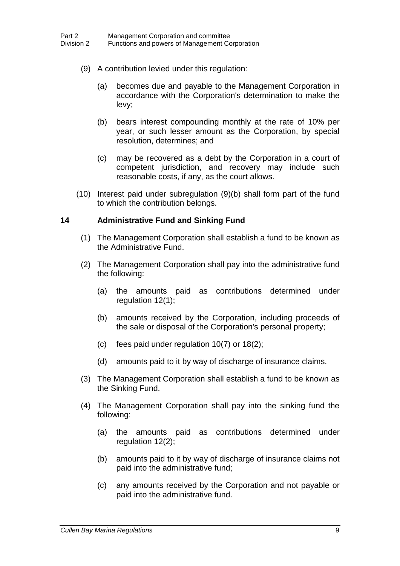- (9) A contribution levied under this regulation:
	- (a) becomes due and payable to the Management Corporation in accordance with the Corporation's determination to make the levy;
	- (b) bears interest compounding monthly at the rate of 10% per year, or such lesser amount as the Corporation, by special resolution, determines; and
	- (c) may be recovered as a debt by the Corporation in a court of competent jurisdiction, and recovery may include such reasonable costs, if any, as the court allows.
- (10) Interest paid under subregulation (9)(b) shall form part of the fund to which the contribution belongs.

### **14 Administrative Fund and Sinking Fund**

- (1) The Management Corporation shall establish a fund to be known as the Administrative Fund.
- (2) The Management Corporation shall pay into the administrative fund the following:
	- (a) the amounts paid as contributions determined under regulation 12(1);
	- (b) amounts received by the Corporation, including proceeds of the sale or disposal of the Corporation's personal property;
	- (c) fees paid under regulation 10(7) or 18(2);
	- (d) amounts paid to it by way of discharge of insurance claims.
- (3) The Management Corporation shall establish a fund to be known as the Sinking Fund.
- (4) The Management Corporation shall pay into the sinking fund the following:
	- (a) the amounts paid as contributions determined under regulation 12(2);
	- (b) amounts paid to it by way of discharge of insurance claims not paid into the administrative fund;
	- (c) any amounts received by the Corporation and not payable or paid into the administrative fund.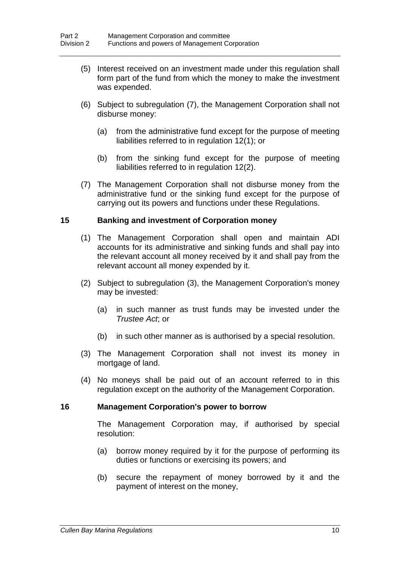- (5) Interest received on an investment made under this regulation shall form part of the fund from which the money to make the investment was expended.
- (6) Subject to subregulation (7), the Management Corporation shall not disburse money:
	- (a) from the administrative fund except for the purpose of meeting liabilities referred to in regulation 12(1); or
	- (b) from the sinking fund except for the purpose of meeting liabilities referred to in regulation 12(2).
- (7) The Management Corporation shall not disburse money from the administrative fund or the sinking fund except for the purpose of carrying out its powers and functions under these Regulations.

### **15 Banking and investment of Corporation money**

- (1) The Management Corporation shall open and maintain ADI accounts for its administrative and sinking funds and shall pay into the relevant account all money received by it and shall pay from the relevant account all money expended by it.
- (2) Subject to subregulation (3), the Management Corporation's money may be invested:
	- (a) in such manner as trust funds may be invested under the *Trustee Act*; or
	- (b) in such other manner as is authorised by a special resolution.
- (3) The Management Corporation shall not invest its money in mortgage of land.
- (4) No moneys shall be paid out of an account referred to in this regulation except on the authority of the Management Corporation.

### **16 Management Corporation's power to borrow**

The Management Corporation may, if authorised by special resolution:

- (a) borrow money required by it for the purpose of performing its duties or functions or exercising its powers; and
- (b) secure the repayment of money borrowed by it and the payment of interest on the money,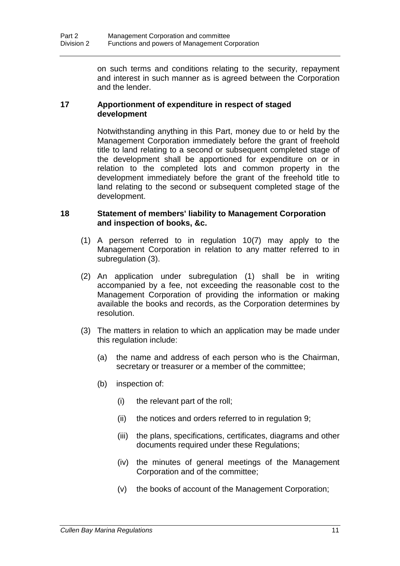on such terms and conditions relating to the security, repayment and interest in such manner as is agreed between the Corporation and the lender.

### **17 Apportionment of expenditure in respect of staged development**

Notwithstanding anything in this Part, money due to or held by the Management Corporation immediately before the grant of freehold title to land relating to a second or subsequent completed stage of the development shall be apportioned for expenditure on or in relation to the completed lots and common property in the development immediately before the grant of the freehold title to land relating to the second or subsequent completed stage of the development.

### **18 Statement of members' liability to Management Corporation and inspection of books, &c.**

- (1) A person referred to in regulation 10(7) may apply to the Management Corporation in relation to any matter referred to in subregulation (3).
- (2) An application under subregulation (1) shall be in writing accompanied by a fee, not exceeding the reasonable cost to the Management Corporation of providing the information or making available the books and records, as the Corporation determines by resolution.
- (3) The matters in relation to which an application may be made under this regulation include:
	- (a) the name and address of each person who is the Chairman, secretary or treasurer or a member of the committee;
	- (b) inspection of:
		- (i) the relevant part of the roll;
		- (ii) the notices and orders referred to in regulation 9;
		- (iii) the plans, specifications, certificates, diagrams and other documents required under these Regulations;
		- (iv) the minutes of general meetings of the Management Corporation and of the committee;
		- (v) the books of account of the Management Corporation;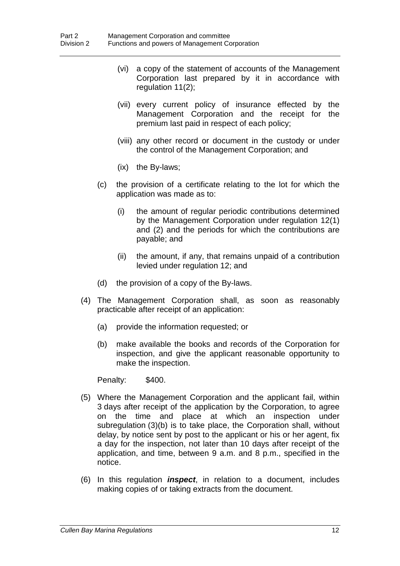- (vi) a copy of the statement of accounts of the Management Corporation last prepared by it in accordance with regulation 11(2);
- (vii) every current policy of insurance effected by the Management Corporation and the receipt for the premium last paid in respect of each policy;
- (viii) any other record or document in the custody or under the control of the Management Corporation; and
- (ix) the By-laws;
- (c) the provision of a certificate relating to the lot for which the application was made as to:
	- (i) the amount of regular periodic contributions determined by the Management Corporation under regulation 12(1) and (2) and the periods for which the contributions are payable; and
	- (ii) the amount, if any, that remains unpaid of a contribution levied under regulation 12; and
- (d) the provision of a copy of the By-laws.
- (4) The Management Corporation shall, as soon as reasonably practicable after receipt of an application:
	- (a) provide the information requested; or
	- (b) make available the books and records of the Corporation for inspection, and give the applicant reasonable opportunity to make the inspection.

Penalty: \$400.

- (5) Where the Management Corporation and the applicant fail, within 3 days after receipt of the application by the Corporation, to agree on the time and place at which an inspection under subregulation (3)(b) is to take place, the Corporation shall, without delay, by notice sent by post to the applicant or his or her agent, fix a day for the inspection, not later than 10 days after receipt of the application, and time, between 9 a.m. and 8 p.m., specified in the notice.
- (6) In this regulation *inspect*, in relation to a document, includes making copies of or taking extracts from the document.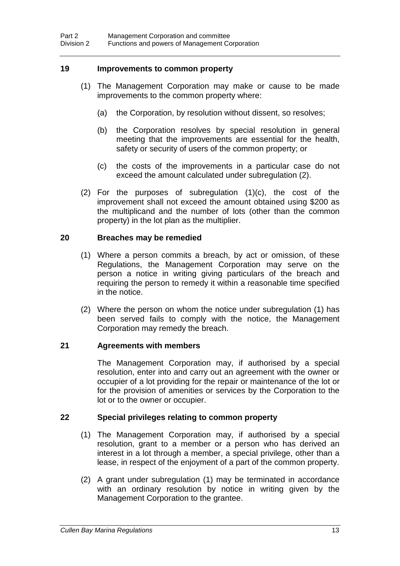### **19 Improvements to common property**

- (1) The Management Corporation may make or cause to be made improvements to the common property where:
	- (a) the Corporation, by resolution without dissent, so resolves;
	- (b) the Corporation resolves by special resolution in general meeting that the improvements are essential for the health, safety or security of users of the common property; or
	- (c) the costs of the improvements in a particular case do not exceed the amount calculated under subregulation (2).
- (2) For the purposes of subregulation (1)(c), the cost of the improvement shall not exceed the amount obtained using \$200 as the multiplicand and the number of lots (other than the common property) in the lot plan as the multiplier.

### **20 Breaches may be remedied**

- (1) Where a person commits a breach, by act or omission, of these Regulations, the Management Corporation may serve on the person a notice in writing giving particulars of the breach and requiring the person to remedy it within a reasonable time specified in the notice.
- (2) Where the person on whom the notice under subregulation (1) has been served fails to comply with the notice, the Management Corporation may remedy the breach.

### **21 Agreements with members**

The Management Corporation may, if authorised by a special resolution, enter into and carry out an agreement with the owner or occupier of a lot providing for the repair or maintenance of the lot or for the provision of amenities or services by the Corporation to the lot or to the owner or occupier.

### **22 Special privileges relating to common property**

- (1) The Management Corporation may, if authorised by a special resolution, grant to a member or a person who has derived an interest in a lot through a member, a special privilege, other than a lease, in respect of the enjoyment of a part of the common property.
- (2) A grant under subregulation (1) may be terminated in accordance with an ordinary resolution by notice in writing given by the Management Corporation to the grantee.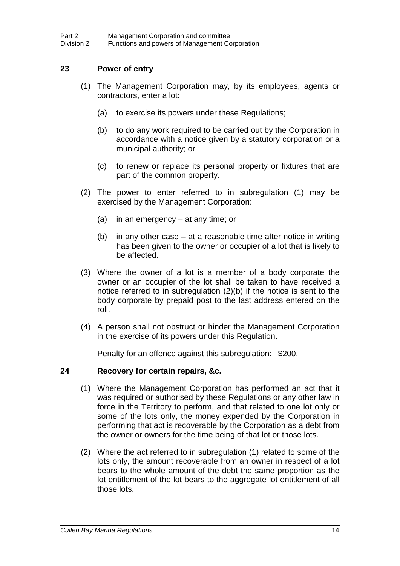### **23 Power of entry**

- (1) The Management Corporation may, by its employees, agents or contractors, enter a lot:
	- (a) to exercise its powers under these Regulations;
	- (b) to do any work required to be carried out by the Corporation in accordance with a notice given by a statutory corporation or a municipal authority; or
	- (c) to renew or replace its personal property or fixtures that are part of the common property.
- (2) The power to enter referred to in subregulation (1) may be exercised by the Management Corporation:
	- (a) in an emergency at any time; or
	- (b) in any other case at a reasonable time after notice in writing has been given to the owner or occupier of a lot that is likely to be affected.
- (3) Where the owner of a lot is a member of a body corporate the owner or an occupier of the lot shall be taken to have received a notice referred to in subregulation (2)(b) if the notice is sent to the body corporate by prepaid post to the last address entered on the roll.
- (4) A person shall not obstruct or hinder the Management Corporation in the exercise of its powers under this Regulation.

Penalty for an offence against this subregulation: \$200.

### **24 Recovery for certain repairs, &c.**

- (1) Where the Management Corporation has performed an act that it was required or authorised by these Regulations or any other law in force in the Territory to perform, and that related to one lot only or some of the lots only, the money expended by the Corporation in performing that act is recoverable by the Corporation as a debt from the owner or owners for the time being of that lot or those lots.
- (2) Where the act referred to in subregulation (1) related to some of the lots only, the amount recoverable from an owner in respect of a lot bears to the whole amount of the debt the same proportion as the lot entitlement of the lot bears to the aggregate lot entitlement of all those lots.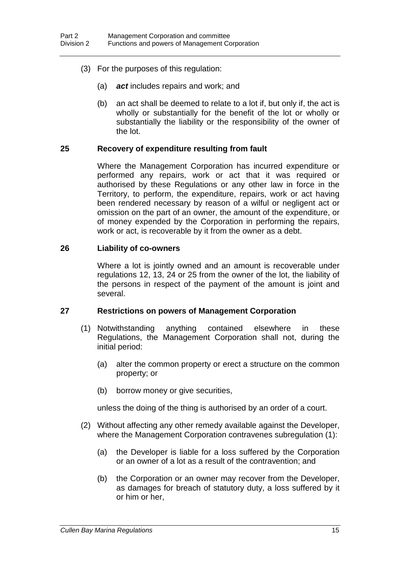- (3) For the purposes of this regulation:
	- (a) *act* includes repairs and work; and
	- (b) an act shall be deemed to relate to a lot if, but only if, the act is wholly or substantially for the benefit of the lot or wholly or substantially the liability or the responsibility of the owner of the lot.

#### **25 Recovery of expenditure resulting from fault**

Where the Management Corporation has incurred expenditure or performed any repairs, work or act that it was required or authorised by these Regulations or any other law in force in the Territory, to perform, the expenditure, repairs, work or act having been rendered necessary by reason of a wilful or negligent act or omission on the part of an owner, the amount of the expenditure, or of money expended by the Corporation in performing the repairs, work or act, is recoverable by it from the owner as a debt.

#### **26 Liability of co-owners**

Where a lot is jointly owned and an amount is recoverable under regulations 12, 13, 24 or 25 from the owner of the lot, the liability of the persons in respect of the payment of the amount is joint and several.

#### **27 Restrictions on powers of Management Corporation**

- (1) Notwithstanding anything contained elsewhere in these Regulations, the Management Corporation shall not, during the initial period:
	- (a) alter the common property or erect a structure on the common property; or
	- (b) borrow money or give securities,

unless the doing of the thing is authorised by an order of a court.

- (2) Without affecting any other remedy available against the Developer, where the Management Corporation contravenes subregulation (1):
	- (a) the Developer is liable for a loss suffered by the Corporation or an owner of a lot as a result of the contravention; and
	- (b) the Corporation or an owner may recover from the Developer, as damages for breach of statutory duty, a loss suffered by it or him or her,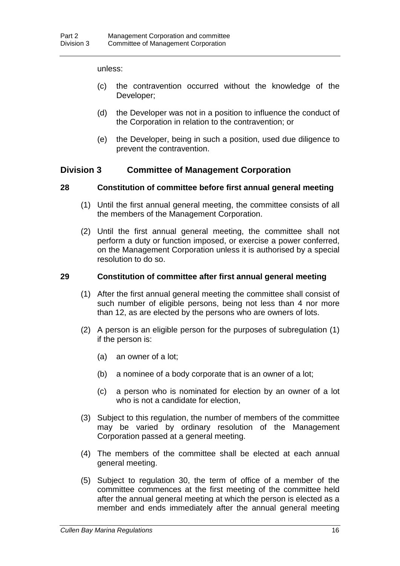#### unless:

- (c) the contravention occurred without the knowledge of the Developer;
- (d) the Developer was not in a position to influence the conduct of the Corporation in relation to the contravention; or
- (e) the Developer, being in such a position, used due diligence to prevent the contravention.

### **Division 3 Committee of Management Corporation**

### **28 Constitution of committee before first annual general meeting**

- (1) Until the first annual general meeting, the committee consists of all the members of the Management Corporation.
- (2) Until the first annual general meeting, the committee shall not perform a duty or function imposed, or exercise a power conferred, on the Management Corporation unless it is authorised by a special resolution to do so.

### **29 Constitution of committee after first annual general meeting**

- (1) After the first annual general meeting the committee shall consist of such number of eligible persons, being not less than 4 nor more than 12, as are elected by the persons who are owners of lots.
- (2) A person is an eligible person for the purposes of subregulation (1) if the person is:
	- (a) an owner of a lot;
	- (b) a nominee of a body corporate that is an owner of a lot;
	- (c) a person who is nominated for election by an owner of a lot who is not a candidate for election,
- (3) Subject to this regulation, the number of members of the committee may be varied by ordinary resolution of the Management Corporation passed at a general meeting.
- (4) The members of the committee shall be elected at each annual general meeting.
- (5) Subject to regulation 30, the term of office of a member of the committee commences at the first meeting of the committee held after the annual general meeting at which the person is elected as a member and ends immediately after the annual general meeting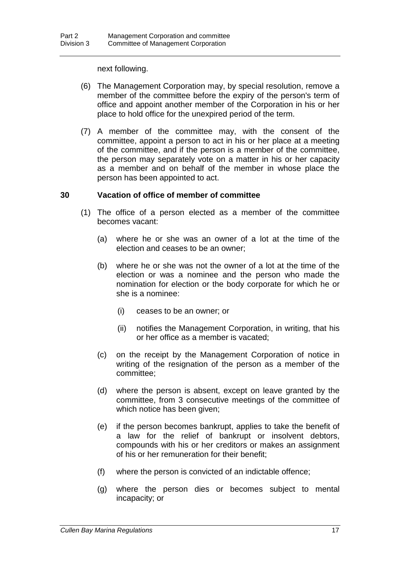next following.

- (6) The Management Corporation may, by special resolution, remove a member of the committee before the expiry of the person's term of office and appoint another member of the Corporation in his or her place to hold office for the unexpired period of the term.
- (7) A member of the committee may, with the consent of the committee, appoint a person to act in his or her place at a meeting of the committee, and if the person is a member of the committee, the person may separately vote on a matter in his or her capacity as a member and on behalf of the member in whose place the person has been appointed to act.

### **30 Vacation of office of member of committee**

- (1) The office of a person elected as a member of the committee becomes vacant:
	- (a) where he or she was an owner of a lot at the time of the election and ceases to be an owner;
	- (b) where he or she was not the owner of a lot at the time of the election or was a nominee and the person who made the nomination for election or the body corporate for which he or she is a nominee:
		- (i) ceases to be an owner; or
		- (ii) notifies the Management Corporation, in writing, that his or her office as a member is vacated;
	- (c) on the receipt by the Management Corporation of notice in writing of the resignation of the person as a member of the committee;
	- (d) where the person is absent, except on leave granted by the committee, from 3 consecutive meetings of the committee of which notice has been given;
	- (e) if the person becomes bankrupt, applies to take the benefit of a law for the relief of bankrupt or insolvent debtors, compounds with his or her creditors or makes an assignment of his or her remuneration for their benefit;
	- (f) where the person is convicted of an indictable offence;
	- (g) where the person dies or becomes subject to mental incapacity; or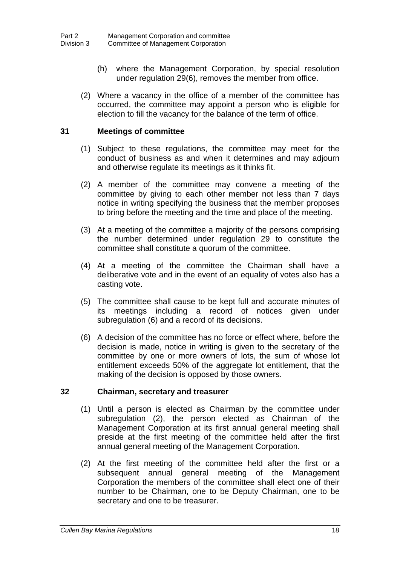- (h) where the Management Corporation, by special resolution under regulation 29(6), removes the member from office.
- (2) Where a vacancy in the office of a member of the committee has occurred, the committee may appoint a person who is eligible for election to fill the vacancy for the balance of the term of office.

### **31 Meetings of committee**

- (1) Subject to these regulations, the committee may meet for the conduct of business as and when it determines and may adjourn and otherwise regulate its meetings as it thinks fit.
- (2) A member of the committee may convene a meeting of the committee by giving to each other member not less than 7 days notice in writing specifying the business that the member proposes to bring before the meeting and the time and place of the meeting.
- (3) At a meeting of the committee a majority of the persons comprising the number determined under regulation 29 to constitute the committee shall constitute a quorum of the committee.
- (4) At a meeting of the committee the Chairman shall have a deliberative vote and in the event of an equality of votes also has a casting vote.
- (5) The committee shall cause to be kept full and accurate minutes of its meetings including a record of notices given under subregulation (6) and a record of its decisions.
- (6) A decision of the committee has no force or effect where, before the decision is made, notice in writing is given to the secretary of the committee by one or more owners of lots, the sum of whose lot entitlement exceeds 50% of the aggregate lot entitlement, that the making of the decision is opposed by those owners.

#### **32 Chairman, secretary and treasurer**

- (1) Until a person is elected as Chairman by the committee under subregulation (2), the person elected as Chairman of the Management Corporation at its first annual general meeting shall preside at the first meeting of the committee held after the first annual general meeting of the Management Corporation.
- (2) At the first meeting of the committee held after the first or a subsequent annual general meeting of the Management Corporation the members of the committee shall elect one of their number to be Chairman, one to be Deputy Chairman, one to be secretary and one to be treasurer.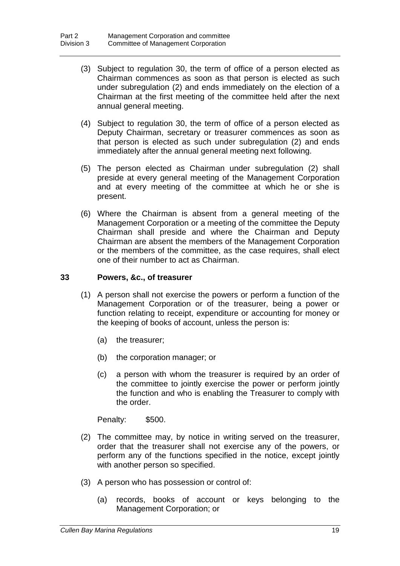- (3) Subject to regulation 30, the term of office of a person elected as Chairman commences as soon as that person is elected as such under subregulation (2) and ends immediately on the election of a Chairman at the first meeting of the committee held after the next annual general meeting.
- (4) Subject to regulation 30, the term of office of a person elected as Deputy Chairman, secretary or treasurer commences as soon as that person is elected as such under subregulation (2) and ends immediately after the annual general meeting next following.
- (5) The person elected as Chairman under subregulation (2) shall preside at every general meeting of the Management Corporation and at every meeting of the committee at which he or she is present.
- (6) Where the Chairman is absent from a general meeting of the Management Corporation or a meeting of the committee the Deputy Chairman shall preside and where the Chairman and Deputy Chairman are absent the members of the Management Corporation or the members of the committee, as the case requires, shall elect one of their number to act as Chairman.

### **33 Powers, &c., of treasurer**

- (1) A person shall not exercise the powers or perform a function of the Management Corporation or of the treasurer, being a power or function relating to receipt, expenditure or accounting for money or the keeping of books of account, unless the person is:
	- (a) the treasurer;
	- (b) the corporation manager; or
	- (c) a person with whom the treasurer is required by an order of the committee to jointly exercise the power or perform jointly the function and who is enabling the Treasurer to comply with the order.

Penalty: \$500.

- (2) The committee may, by notice in writing served on the treasurer, order that the treasurer shall not exercise any of the powers, or perform any of the functions specified in the notice, except jointly with another person so specified.
- (3) A person who has possession or control of:
	- (a) records, books of account or keys belonging to the Management Corporation; or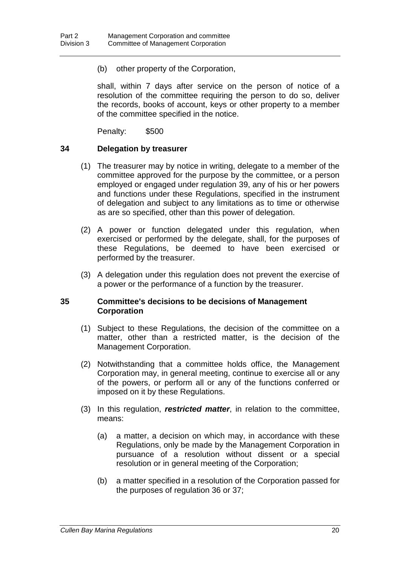(b) other property of the Corporation,

shall, within 7 days after service on the person of notice of a resolution of the committee requiring the person to do so, deliver the records, books of account, keys or other property to a member of the committee specified in the notice.

Penalty: \$500

### **34 Delegation by treasurer**

- (1) The treasurer may by notice in writing, delegate to a member of the committee approved for the purpose by the committee, or a person employed or engaged under regulation 39, any of his or her powers and functions under these Regulations, specified in the instrument of delegation and subject to any limitations as to time or otherwise as are so specified, other than this power of delegation.
- (2) A power or function delegated under this regulation, when exercised or performed by the delegate, shall, for the purposes of these Regulations, be deemed to have been exercised or performed by the treasurer.
- (3) A delegation under this regulation does not prevent the exercise of a power or the performance of a function by the treasurer.

### **35 Committee's decisions to be decisions of Management Corporation**

- (1) Subject to these Regulations, the decision of the committee on a matter, other than a restricted matter, is the decision of the Management Corporation.
- (2) Notwithstanding that a committee holds office, the Management Corporation may, in general meeting, continue to exercise all or any of the powers, or perform all or any of the functions conferred or imposed on it by these Regulations.
- (3) In this regulation, *restricted matter*, in relation to the committee, means:
	- (a) a matter, a decision on which may, in accordance with these Regulations, only be made by the Management Corporation in pursuance of a resolution without dissent or a special resolution or in general meeting of the Corporation;
	- (b) a matter specified in a resolution of the Corporation passed for the purposes of regulation 36 or 37;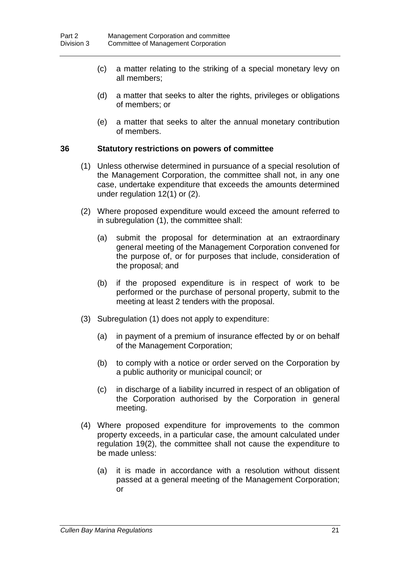- (c) a matter relating to the striking of a special monetary levy on all members;
- (d) a matter that seeks to alter the rights, privileges or obligations of members; or
- (e) a matter that seeks to alter the annual monetary contribution of members.

### **36 Statutory restrictions on powers of committee**

- (1) Unless otherwise determined in pursuance of a special resolution of the Management Corporation, the committee shall not, in any one case, undertake expenditure that exceeds the amounts determined under regulation 12(1) or (2).
- (2) Where proposed expenditure would exceed the amount referred to in subregulation (1), the committee shall:
	- (a) submit the proposal for determination at an extraordinary general meeting of the Management Corporation convened for the purpose of, or for purposes that include, consideration of the proposal; and
	- (b) if the proposed expenditure is in respect of work to be performed or the purchase of personal property, submit to the meeting at least 2 tenders with the proposal.
- (3) Subregulation (1) does not apply to expenditure:
	- (a) in payment of a premium of insurance effected by or on behalf of the Management Corporation;
	- (b) to comply with a notice or order served on the Corporation by a public authority or municipal council; or
	- (c) in discharge of a liability incurred in respect of an obligation of the Corporation authorised by the Corporation in general meeting.
- (4) Where proposed expenditure for improvements to the common property exceeds, in a particular case, the amount calculated under regulation 19(2), the committee shall not cause the expenditure to be made unless:
	- (a) it is made in accordance with a resolution without dissent passed at a general meeting of the Management Corporation; or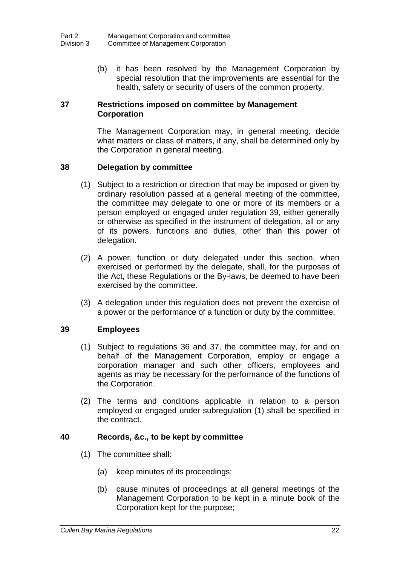(b) it has been resolved by the Management Corporation by special resolution that the improvements are essential for the health, safety or security of users of the common property.

### **37 Restrictions imposed on committee by Management Corporation**

The Management Corporation may, in general meeting, decide what matters or class of matters, if any, shall be determined only by the Corporation in general meeting.

### **38 Delegation by committee**

- (1) Subject to a restriction or direction that may be imposed or given by ordinary resolution passed at a general meeting of the committee, the committee may delegate to one or more of its members or a person employed or engaged under regulation 39, either generally or otherwise as specified in the instrument of delegation, all or any of its powers, functions and duties, other than this power of delegation.
- (2) A power, function or duty delegated under this section, when exercised or performed by the delegate, shall, for the purposes of the Act, these Regulations or the By-laws, be deemed to have been exercised by the committee.
- (3) A delegation under this regulation does not prevent the exercise of a power or the performance of a function or duty by the committee.

### **39 Employees**

- (1) Subject to regulations 36 and 37, the committee may, for and on behalf of the Management Corporation, employ or engage a corporation manager and such other officers, employees and agents as may be necessary for the performance of the functions of the Corporation.
- (2) The terms and conditions applicable in relation to a person employed or engaged under subregulation (1) shall be specified in the contract.

### **40 Records, &c., to be kept by committee**

- (1) The committee shall:
	- (a) keep minutes of its proceedings;
	- (b) cause minutes of proceedings at all general meetings of the Management Corporation to be kept in a minute book of the Corporation kept for the purpose;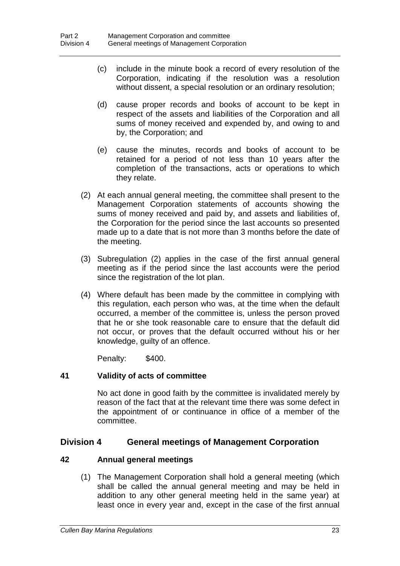- (c) include in the minute book a record of every resolution of the Corporation, indicating if the resolution was a resolution without dissent, a special resolution or an ordinary resolution;
- (d) cause proper records and books of account to be kept in respect of the assets and liabilities of the Corporation and all sums of money received and expended by, and owing to and by, the Corporation; and
- (e) cause the minutes, records and books of account to be retained for a period of not less than 10 years after the completion of the transactions, acts or operations to which they relate.
- (2) At each annual general meeting, the committee shall present to the Management Corporation statements of accounts showing the sums of money received and paid by, and assets and liabilities of, the Corporation for the period since the last accounts so presented made up to a date that is not more than 3 months before the date of the meeting.
- (3) Subregulation (2) applies in the case of the first annual general meeting as if the period since the last accounts were the period since the registration of the lot plan.
- (4) Where default has been made by the committee in complying with this regulation, each person who was, at the time when the default occurred, a member of the committee is, unless the person proved that he or she took reasonable care to ensure that the default did not occur, or proves that the default occurred without his or her knowledge, guilty of an offence.

Penalty: \$400.

### **41 Validity of acts of committee**

No act done in good faith by the committee is invalidated merely by reason of the fact that at the relevant time there was some defect in the appointment of or continuance in office of a member of the committee.

### **Division 4 General meetings of Management Corporation**

### **42 Annual general meetings**

(1) The Management Corporation shall hold a general meeting (which shall be called the annual general meeting and may be held in addition to any other general meeting held in the same year) at least once in every year and, except in the case of the first annual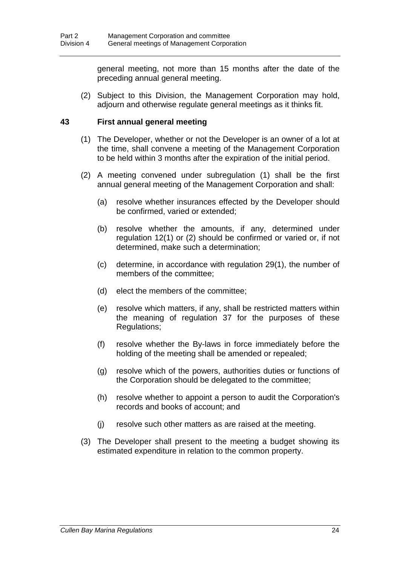general meeting, not more than 15 months after the date of the preceding annual general meeting.

(2) Subject to this Division, the Management Corporation may hold, adjourn and otherwise regulate general meetings as it thinks fit.

### **43 First annual general meeting**

- (1) The Developer, whether or not the Developer is an owner of a lot at the time, shall convene a meeting of the Management Corporation to be held within 3 months after the expiration of the initial period.
- (2) A meeting convened under subregulation (1) shall be the first annual general meeting of the Management Corporation and shall:
	- (a) resolve whether insurances effected by the Developer should be confirmed, varied or extended;
	- (b) resolve whether the amounts, if any, determined under regulation 12(1) or (2) should be confirmed or varied or, if not determined, make such a determination;
	- (c) determine, in accordance with regulation 29(1), the number of members of the committee;
	- (d) elect the members of the committee;
	- (e) resolve which matters, if any, shall be restricted matters within the meaning of regulation 37 for the purposes of these Regulations;
	- (f) resolve whether the By-laws in force immediately before the holding of the meeting shall be amended or repealed;
	- (g) resolve which of the powers, authorities duties or functions of the Corporation should be delegated to the committee;
	- (h) resolve whether to appoint a person to audit the Corporation's records and books of account; and
	- (j) resolve such other matters as are raised at the meeting.
- (3) The Developer shall present to the meeting a budget showing its estimated expenditure in relation to the common property.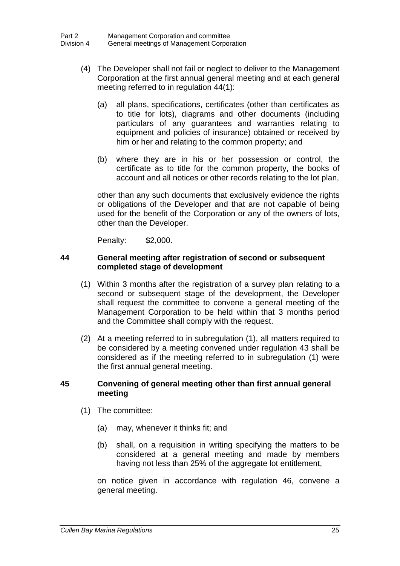- (4) The Developer shall not fail or neglect to deliver to the Management Corporation at the first annual general meeting and at each general meeting referred to in regulation 44(1):
	- (a) all plans, specifications, certificates (other than certificates as to title for lots), diagrams and other documents (including particulars of any guarantees and warranties relating to equipment and policies of insurance) obtained or received by him or her and relating to the common property; and
	- (b) where they are in his or her possession or control, the certificate as to title for the common property, the books of account and all notices or other records relating to the lot plan,

other than any such documents that exclusively evidence the rights or obligations of the Developer and that are not capable of being used for the benefit of the Corporation or any of the owners of lots, other than the Developer.

Penalty: \$2,000.

### **44 General meeting after registration of second or subsequent completed stage of development**

- (1) Within 3 months after the registration of a survey plan relating to a second or subsequent stage of the development, the Developer shall request the committee to convene a general meeting of the Management Corporation to be held within that 3 months period and the Committee shall comply with the request.
- (2) At a meeting referred to in subregulation (1), all matters required to be considered by a meeting convened under regulation 43 shall be considered as if the meeting referred to in subregulation (1) were the first annual general meeting.

### **45 Convening of general meeting other than first annual general meeting**

- (1) The committee:
	- (a) may, whenever it thinks fit; and
	- (b) shall, on a requisition in writing specifying the matters to be considered at a general meeting and made by members having not less than 25% of the aggregate lot entitlement,

on notice given in accordance with regulation 46, convene a general meeting.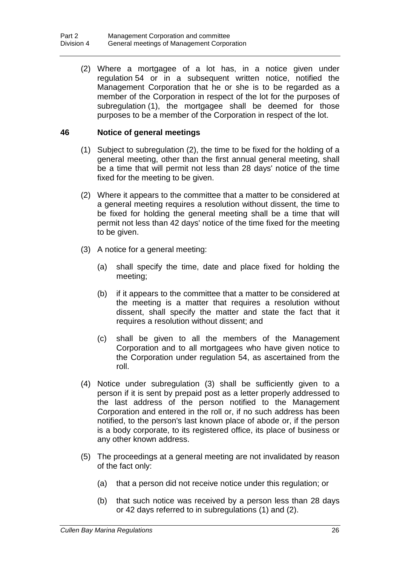(2) Where a mortgagee of a lot has, in a notice given under regulation 54 or in a subsequent written notice, notified the Management Corporation that he or she is to be regarded as a member of the Corporation in respect of the lot for the purposes of subregulation (1), the mortgagee shall be deemed for those purposes to be a member of the Corporation in respect of the lot.

### **46 Notice of general meetings**

- (1) Subject to subregulation (2), the time to be fixed for the holding of a general meeting, other than the first annual general meeting, shall be a time that will permit not less than 28 days' notice of the time fixed for the meeting to be given.
- (2) Where it appears to the committee that a matter to be considered at a general meeting requires a resolution without dissent, the time to be fixed for holding the general meeting shall be a time that will permit not less than 42 days' notice of the time fixed for the meeting to be given.
- (3) A notice for a general meeting:
	- (a) shall specify the time, date and place fixed for holding the meeting;
	- (b) if it appears to the committee that a matter to be considered at the meeting is a matter that requires a resolution without dissent, shall specify the matter and state the fact that it requires a resolution without dissent; and
	- (c) shall be given to all the members of the Management Corporation and to all mortgagees who have given notice to the Corporation under regulation 54, as ascertained from the roll.
- (4) Notice under subregulation (3) shall be sufficiently given to a person if it is sent by prepaid post as a letter properly addressed to the last address of the person notified to the Management Corporation and entered in the roll or, if no such address has been notified, to the person's last known place of abode or, if the person is a body corporate, to its registered office, its place of business or any other known address.
- (5) The proceedings at a general meeting are not invalidated by reason of the fact only:
	- (a) that a person did not receive notice under this regulation; or
	- (b) that such notice was received by a person less than 28 days or 42 days referred to in subregulations (1) and (2).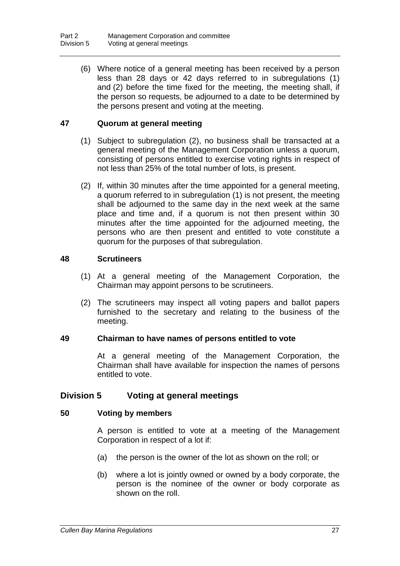(6) Where notice of a general meeting has been received by a person less than 28 days or 42 days referred to in subregulations (1) and (2) before the time fixed for the meeting, the meeting shall, if the person so requests, be adjourned to a date to be determined by the persons present and voting at the meeting.

### **47 Quorum at general meeting**

- (1) Subject to subregulation (2), no business shall be transacted at a general meeting of the Management Corporation unless a quorum, consisting of persons entitled to exercise voting rights in respect of not less than 25% of the total number of lots, is present.
- (2) If, within 30 minutes after the time appointed for a general meeting, a quorum referred to in subregulation (1) is not present, the meeting shall be adjourned to the same day in the next week at the same place and time and, if a quorum is not then present within 30 minutes after the time appointed for the adjourned meeting, the persons who are then present and entitled to vote constitute a quorum for the purposes of that subregulation.

### **48 Scrutineers**

- (1) At a general meeting of the Management Corporation, the Chairman may appoint persons to be scrutineers.
- (2) The scrutineers may inspect all voting papers and ballot papers furnished to the secretary and relating to the business of the meeting.

### **49 Chairman to have names of persons entitled to vote**

At a general meeting of the Management Corporation, the Chairman shall have available for inspection the names of persons entitled to vote.

### **Division 5 Voting at general meetings**

### **50 Voting by members**

A person is entitled to vote at a meeting of the Management Corporation in respect of a lot if:

- (a) the person is the owner of the lot as shown on the roll; or
- (b) where a lot is jointly owned or owned by a body corporate, the person is the nominee of the owner or body corporate as shown on the roll.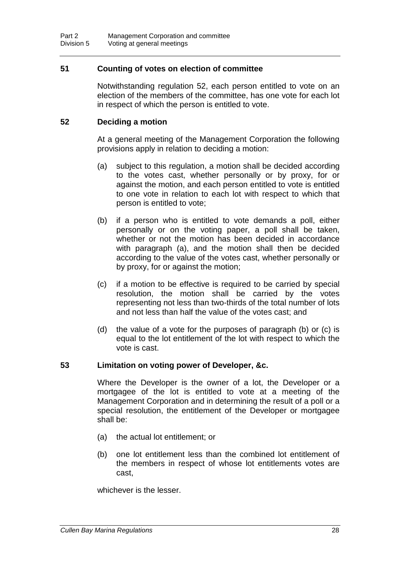### **51 Counting of votes on election of committee**

Notwithstanding regulation 52, each person entitled to vote on an election of the members of the committee, has one vote for each lot in respect of which the person is entitled to vote.

### **52 Deciding a motion**

At a general meeting of the Management Corporation the following provisions apply in relation to deciding a motion:

- (a) subject to this regulation, a motion shall be decided according to the votes cast, whether personally or by proxy, for or against the motion, and each person entitled to vote is entitled to one vote in relation to each lot with respect to which that person is entitled to vote;
- (b) if a person who is entitled to vote demands a poll, either personally or on the voting paper, a poll shall be taken, whether or not the motion has been decided in accordance with paragraph (a), and the motion shall then be decided according to the value of the votes cast, whether personally or by proxy, for or against the motion;
- (c) if a motion to be effective is required to be carried by special resolution, the motion shall be carried by the votes representing not less than two-thirds of the total number of lots and not less than half the value of the votes cast; and
- (d) the value of a vote for the purposes of paragraph (b) or (c) is equal to the lot entitlement of the lot with respect to which the vote is cast.

#### **53 Limitation on voting power of Developer, &c.**

Where the Developer is the owner of a lot, the Developer or a mortgagee of the lot is entitled to vote at a meeting of the Management Corporation and in determining the result of a poll or a special resolution, the entitlement of the Developer or mortgagee shall be:

- (a) the actual lot entitlement; or
- (b) one lot entitlement less than the combined lot entitlement of the members in respect of whose lot entitlements votes are cast,

whichever is the lesser.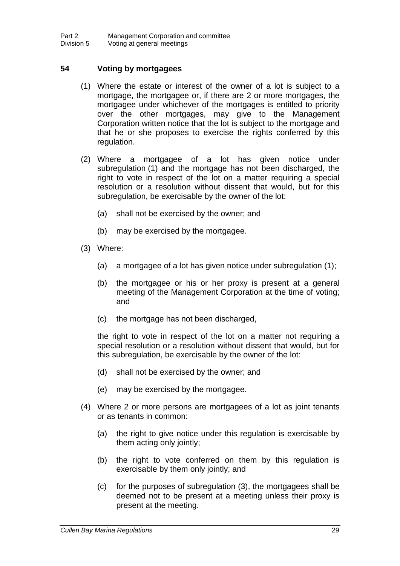### **54 Voting by mortgagees**

- (1) Where the estate or interest of the owner of a lot is subject to a mortgage, the mortgagee or, if there are 2 or more mortgages, the mortgagee under whichever of the mortgages is entitled to priority over the other mortgages, may give to the Management Corporation written notice that the lot is subject to the mortgage and that he or she proposes to exercise the rights conferred by this regulation.
- (2) Where a mortgagee of a lot has given notice under subregulation (1) and the mortgage has not been discharged, the right to vote in respect of the lot on a matter requiring a special resolution or a resolution without dissent that would, but for this subregulation, be exercisable by the owner of the lot:
	- (a) shall not be exercised by the owner; and
	- (b) may be exercised by the mortgagee.
- (3) Where:
	- (a) a mortgagee of a lot has given notice under subregulation (1);
	- (b) the mortgagee or his or her proxy is present at a general meeting of the Management Corporation at the time of voting; and
	- (c) the mortgage has not been discharged,

the right to vote in respect of the lot on a matter not requiring a special resolution or a resolution without dissent that would, but for this subregulation, be exercisable by the owner of the lot:

- (d) shall not be exercised by the owner; and
- (e) may be exercised by the mortgagee.
- (4) Where 2 or more persons are mortgagees of a lot as joint tenants or as tenants in common:
	- (a) the right to give notice under this regulation is exercisable by them acting only jointly;
	- (b) the right to vote conferred on them by this regulation is exercisable by them only jointly; and
	- (c) for the purposes of subregulation (3), the mortgagees shall be deemed not to be present at a meeting unless their proxy is present at the meeting.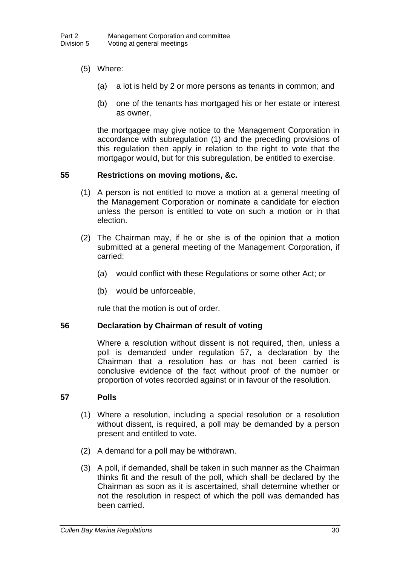- (5) Where:
	- (a) a lot is held by 2 or more persons as tenants in common; and
	- (b) one of the tenants has mortgaged his or her estate or interest as owner,

the mortgagee may give notice to the Management Corporation in accordance with subregulation (1) and the preceding provisions of this regulation then apply in relation to the right to vote that the mortgagor would, but for this subregulation, be entitled to exercise.

### **55 Restrictions on moving motions, &c.**

- (1) A person is not entitled to move a motion at a general meeting of the Management Corporation or nominate a candidate for election unless the person is entitled to vote on such a motion or in that election.
- (2) The Chairman may, if he or she is of the opinion that a motion submitted at a general meeting of the Management Corporation, if carried:
	- (a) would conflict with these Regulations or some other Act; or
	- (b) would be unforceable,

rule that the motion is out of order.

#### **56 Declaration by Chairman of result of voting**

Where a resolution without dissent is not required, then, unless a poll is demanded under regulation 57, a declaration by the Chairman that a resolution has or has not been carried is conclusive evidence of the fact without proof of the number or proportion of votes recorded against or in favour of the resolution.

#### **57 Polls**

- (1) Where a resolution, including a special resolution or a resolution without dissent, is required, a poll may be demanded by a person present and entitled to vote.
- (2) A demand for a poll may be withdrawn.
- (3) A poll, if demanded, shall be taken in such manner as the Chairman thinks fit and the result of the poll, which shall be declared by the Chairman as soon as it is ascertained, shall determine whether or not the resolution in respect of which the poll was demanded has been carried.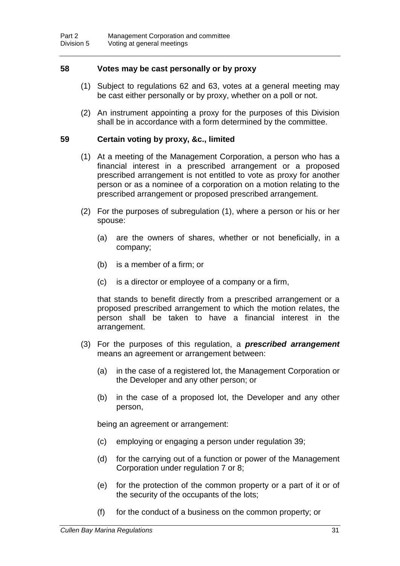### **58 Votes may be cast personally or by proxy**

- (1) Subject to regulations 62 and 63, votes at a general meeting may be cast either personally or by proxy, whether on a poll or not.
- (2) An instrument appointing a proxy for the purposes of this Division shall be in accordance with a form determined by the committee.

#### **59 Certain voting by proxy, &c., limited**

- (1) At a meeting of the Management Corporation, a person who has a financial interest in a prescribed arrangement or a proposed prescribed arrangement is not entitled to vote as proxy for another person or as a nominee of a corporation on a motion relating to the prescribed arrangement or proposed prescribed arrangement.
- (2) For the purposes of subregulation (1), where a person or his or her spouse:
	- (a) are the owners of shares, whether or not beneficially, in a company;
	- (b) is a member of a firm; or
	- (c) is a director or employee of a company or a firm,

that stands to benefit directly from a prescribed arrangement or a proposed prescribed arrangement to which the motion relates, the person shall be taken to have a financial interest in the arrangement.

- (3) For the purposes of this regulation, a *prescribed arrangement* means an agreement or arrangement between:
	- (a) in the case of a registered lot, the Management Corporation or the Developer and any other person; or
	- (b) in the case of a proposed lot, the Developer and any other person,

being an agreement or arrangement:

- (c) employing or engaging a person under regulation 39;
- (d) for the carrying out of a function or power of the Management Corporation under regulation 7 or 8;
- (e) for the protection of the common property or a part of it or of the security of the occupants of the lots;
- (f) for the conduct of a business on the common property; or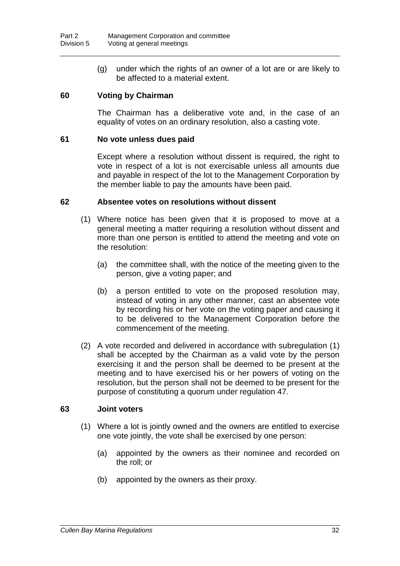(g) under which the rights of an owner of a lot are or are likely to be affected to a material extent.

### **60 Voting by Chairman**

The Chairman has a deliberative vote and, in the case of an equality of votes on an ordinary resolution, also a casting vote.

### **61 No vote unless dues paid**

Except where a resolution without dissent is required, the right to vote in respect of a lot is not exercisable unless all amounts due and payable in respect of the lot to the Management Corporation by the member liable to pay the amounts have been paid.

### **62 Absentee votes on resolutions without dissent**

- (1) Where notice has been given that it is proposed to move at a general meeting a matter requiring a resolution without dissent and more than one person is entitled to attend the meeting and vote on the resolution:
	- (a) the committee shall, with the notice of the meeting given to the person, give a voting paper; and
	- (b) a person entitled to vote on the proposed resolution may, instead of voting in any other manner, cast an absentee vote by recording his or her vote on the voting paper and causing it to be delivered to the Management Corporation before the commencement of the meeting.
- (2) A vote recorded and delivered in accordance with subregulation (1) shall be accepted by the Chairman as a valid vote by the person exercising it and the person shall be deemed to be present at the meeting and to have exercised his or her powers of voting on the resolution, but the person shall not be deemed to be present for the purpose of constituting a quorum under regulation 47.

#### **63 Joint voters**

- (1) Where a lot is jointly owned and the owners are entitled to exercise one vote jointly, the vote shall be exercised by one person:
	- (a) appointed by the owners as their nominee and recorded on the roll; or
	- (b) appointed by the owners as their proxy.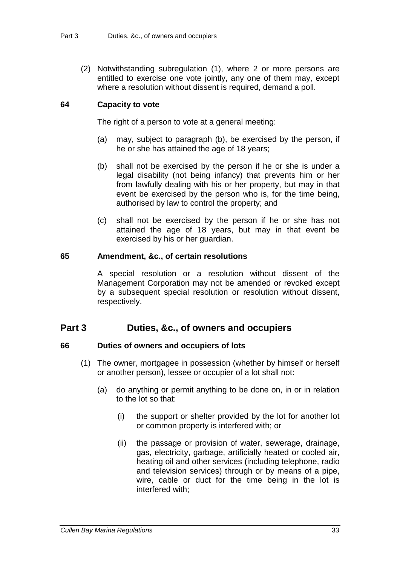(2) Notwithstanding subregulation (1), where 2 or more persons are entitled to exercise one vote jointly, any one of them may, except where a resolution without dissent is required, demand a poll.

### **64 Capacity to vote**

The right of a person to vote at a general meeting:

- (a) may, subject to paragraph (b), be exercised by the person, if he or she has attained the age of 18 years;
- (b) shall not be exercised by the person if he or she is under a legal disability (not being infancy) that prevents him or her from lawfully dealing with his or her property, but may in that event be exercised by the person who is, for the time being, authorised by law to control the property; and
- (c) shall not be exercised by the person if he or she has not attained the age of 18 years, but may in that event be exercised by his or her guardian.

### **65 Amendment, &c., of certain resolutions**

A special resolution or a resolution without dissent of the Management Corporation may not be amended or revoked except by a subsequent special resolution or resolution without dissent, respectively.

### **Part 3 Duties, &c., of owners and occupiers**

### **66 Duties of owners and occupiers of lots**

- (1) The owner, mortgagee in possession (whether by himself or herself or another person), lessee or occupier of a lot shall not:
	- (a) do anything or permit anything to be done on, in or in relation to the lot so that:
		- (i) the support or shelter provided by the lot for another lot or common property is interfered with; or
		- (ii) the passage or provision of water, sewerage, drainage, gas, electricity, garbage, artificially heated or cooled air, heating oil and other services (including telephone, radio and television services) through or by means of a pipe, wire, cable or duct for the time being in the lot is interfered with;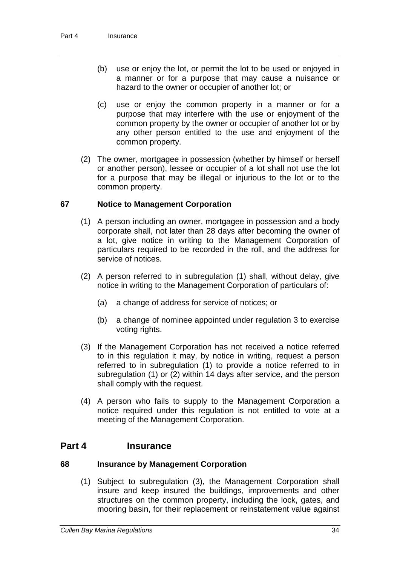- (b) use or enjoy the lot, or permit the lot to be used or enjoyed in a manner or for a purpose that may cause a nuisance or hazard to the owner or occupier of another lot; or
- (c) use or enjoy the common property in a manner or for a purpose that may interfere with the use or enjoyment of the common property by the owner or occupier of another lot or by any other person entitled to the use and enjoyment of the common property.
- (2) The owner, mortgagee in possession (whether by himself or herself or another person), lessee or occupier of a lot shall not use the lot for a purpose that may be illegal or injurious to the lot or to the common property.

### **67 Notice to Management Corporation**

- (1) A person including an owner, mortgagee in possession and a body corporate shall, not later than 28 days after becoming the owner of a lot, give notice in writing to the Management Corporation of particulars required to be recorded in the roll, and the address for service of notices.
- (2) A person referred to in subregulation (1) shall, without delay, give notice in writing to the Management Corporation of particulars of:
	- (a) a change of address for service of notices; or
	- (b) a change of nominee appointed under regulation 3 to exercise voting rights.
- (3) If the Management Corporation has not received a notice referred to in this regulation it may, by notice in writing, request a person referred to in subregulation (1) to provide a notice referred to in subregulation (1) or (2) within 14 days after service, and the person shall comply with the request.
- (4) A person who fails to supply to the Management Corporation a notice required under this regulation is not entitled to vote at a meeting of the Management Corporation.

### **Part 4 Insurance**

#### **68 Insurance by Management Corporation**

(1) Subject to subregulation (3), the Management Corporation shall insure and keep insured the buildings, improvements and other structures on the common property, including the lock, gates, and mooring basin, for their replacement or reinstatement value against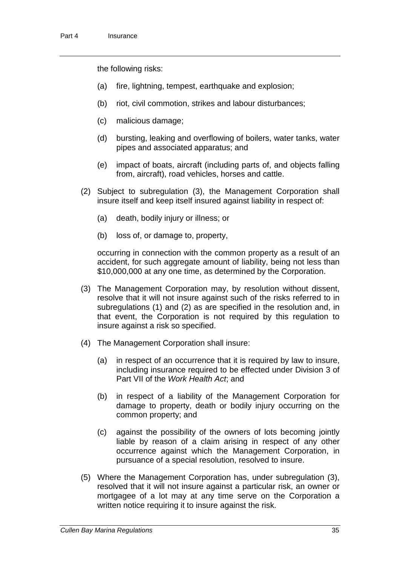the following risks:

- (a) fire, lightning, tempest, earthquake and explosion;
- (b) riot, civil commotion, strikes and labour disturbances;
- (c) malicious damage;
- (d) bursting, leaking and overflowing of boilers, water tanks, water pipes and associated apparatus; and
- (e) impact of boats, aircraft (including parts of, and objects falling from, aircraft), road vehicles, horses and cattle.
- (2) Subject to subregulation (3), the Management Corporation shall insure itself and keep itself insured against liability in respect of:
	- (a) death, bodily injury or illness; or
	- (b) loss of, or damage to, property,

occurring in connection with the common property as a result of an accident, for such aggregate amount of liability, being not less than \$10,000,000 at any one time, as determined by the Corporation.

- (3) The Management Corporation may, by resolution without dissent, resolve that it will not insure against such of the risks referred to in subregulations (1) and (2) as are specified in the resolution and, in that event, the Corporation is not required by this regulation to insure against a risk so specified.
- (4) The Management Corporation shall insure:
	- (a) in respect of an occurrence that it is required by law to insure, including insurance required to be effected under Division 3 of Part VII of the *Work Health Act*; and
	- (b) in respect of a liability of the Management Corporation for damage to property, death or bodily injury occurring on the common property; and
	- (c) against the possibility of the owners of lots becoming jointly liable by reason of a claim arising in respect of any other occurrence against which the Management Corporation, in pursuance of a special resolution, resolved to insure.
- (5) Where the Management Corporation has, under subregulation (3), resolved that it will not insure against a particular risk, an owner or mortgagee of a lot may at any time serve on the Corporation a written notice requiring it to insure against the risk.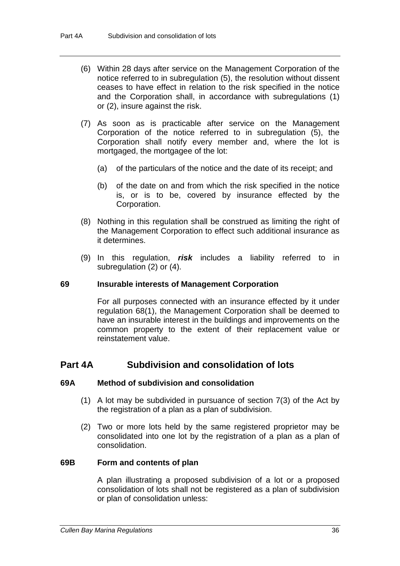- (6) Within 28 days after service on the Management Corporation of the notice referred to in subregulation (5), the resolution without dissent ceases to have effect in relation to the risk specified in the notice and the Corporation shall, in accordance with subregulations (1) or (2), insure against the risk.
- (7) As soon as is practicable after service on the Management Corporation of the notice referred to in subregulation (5), the Corporation shall notify every member and, where the lot is mortgaged, the mortgagee of the lot:
	- (a) of the particulars of the notice and the date of its receipt; and
	- (b) of the date on and from which the risk specified in the notice is, or is to be, covered by insurance effected by the Corporation.
- (8) Nothing in this regulation shall be construed as limiting the right of the Management Corporation to effect such additional insurance as it determines.
- (9) In this regulation, *risk* includes a liability referred to in subregulation (2) or (4).

### **69 Insurable interests of Management Corporation**

For all purposes connected with an insurance effected by it under regulation 68(1), the Management Corporation shall be deemed to have an insurable interest in the buildings and improvements on the common property to the extent of their replacement value or reinstatement value.

## **Part 4A Subdivision and consolidation of lots**

#### **69A Method of subdivision and consolidation**

- (1) A lot may be subdivided in pursuance of section 7(3) of the Act by the registration of a plan as a plan of subdivision.
- (2) Two or more lots held by the same registered proprietor may be consolidated into one lot by the registration of a plan as a plan of consolidation.

#### **69B Form and contents of plan**

A plan illustrating a proposed subdivision of a lot or a proposed consolidation of lots shall not be registered as a plan of subdivision or plan of consolidation unless: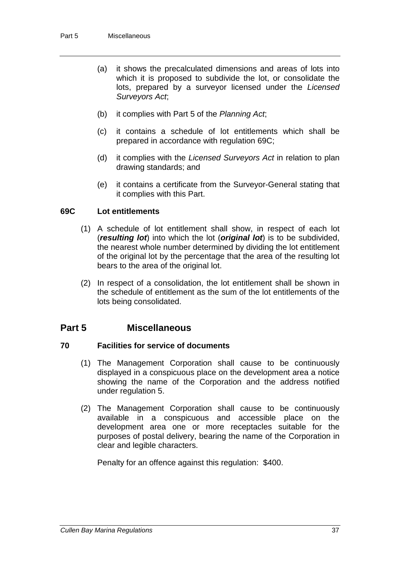- (a) it shows the precalculated dimensions and areas of lots into which it is proposed to subdivide the lot, or consolidate the lots, prepared by a surveyor licensed under the *Licensed Surveyors Act*;
- (b) it complies with Part 5 of the *Planning Act*;
- (c) it contains a schedule of lot entitlements which shall be prepared in accordance with regulation 69C;
- (d) it complies with the *Licensed Surveyors Act* in relation to plan drawing standards; and
- (e) it contains a certificate from the Surveyor-General stating that it complies with this Part.

### **69C Lot entitlements**

- (1) A schedule of lot entitlement shall show, in respect of each lot (*resulting lot*) into which the lot (*original lot*) is to be subdivided, the nearest whole number determined by dividing the lot entitlement of the original lot by the percentage that the area of the resulting lot bears to the area of the original lot.
- (2) In respect of a consolidation, the lot entitlement shall be shown in the schedule of entitlement as the sum of the lot entitlements of the lots being consolidated.

### **Part 5 Miscellaneous**

### **70 Facilities for service of documents**

- (1) The Management Corporation shall cause to be continuously displayed in a conspicuous place on the development area a notice showing the name of the Corporation and the address notified under regulation 5.
- (2) The Management Corporation shall cause to be continuously available in a conspicuous and accessible place on the development area one or more receptacles suitable for the purposes of postal delivery, bearing the name of the Corporation in clear and legible characters.

Penalty for an offence against this regulation: \$400.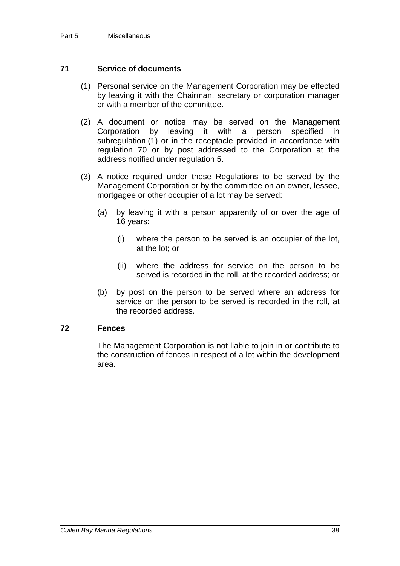### **71 Service of documents**

- (1) Personal service on the Management Corporation may be effected by leaving it with the Chairman, secretary or corporation manager or with a member of the committee.
- (2) A document or notice may be served on the Management Corporation by leaving it with a person specified in subregulation (1) or in the receptacle provided in accordance with regulation 70 or by post addressed to the Corporation at the address notified under regulation 5.
- (3) A notice required under these Regulations to be served by the Management Corporation or by the committee on an owner, lessee, mortgagee or other occupier of a lot may be served:
	- (a) by leaving it with a person apparently of or over the age of 16 years:
		- (i) where the person to be served is an occupier of the lot, at the lot; or
		- (ii) where the address for service on the person to be served is recorded in the roll, at the recorded address; or
	- (b) by post on the person to be served where an address for service on the person to be served is recorded in the roll, at the recorded address.

### **72 Fences**

The Management Corporation is not liable to join in or contribute to the construction of fences in respect of a lot within the development area.